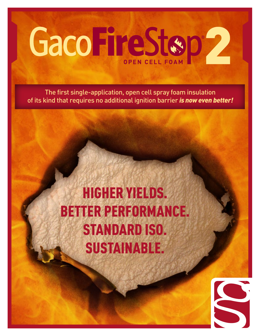

The first single-application, open cell spray foam insulation of its kind that requires no additional ignition barrier *is now even better!*

# HIGHER YIELDS. BETTER PERFORMANCE. STANDARD ISO. SUSTAINABLE.

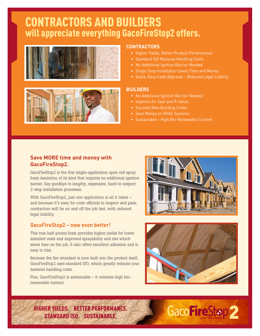### CONTRACTORS AND BUILDERS will appreciate everything GacoFireStop2 offers.





#### **CONTRACTORS**

- Higher Yields, Better Product Performance
- Standard ISO Reduces Handling Costs
- No Additional Ignition Barrier Needed
- Single Step Installation Saves Time and Money
- Quick, Easy Code Approval Reduced Legal Liability

#### **BUILDERS**

- No Additional Ignition Barrier Needed
- Improve Air Seal and R-Value
- Exceeds New Building Codes
- Save Money on HVAC Systems
- Sustainable High Bio-Renewable Content

#### **Save MORE time and money with GacoFireStop2.**

GacoFireStop2 is the first single-application open cell spray foam insulation of its kind that requires no additional ignition barrier. Say goodbye to lengthy, expensive, hard-to-inspect 2-step installation processes.

With GacoFireStop2, just one application is all it takes – and because it's easy for code officials to inspect and pass, contractors will be on and off the job fast, with reduced legal liability.

#### **GacoFireStop2 – now even better!**

This true half-pound foam provides higher yields for lower installed costs and improved sprayability and rise which saves time on the job. It also offers excellent adhesion and is easy to trim.

Because the fire retardant is now built into the product itself, GacoFireStop2 uses standard ISO, which greatly reduces your material handling costs.

Plus, GacoFireStop2 is sustainable – it contains high biorenewable content.





HIGHER YIELDS. BETTER PERFORMANCE. STANDARD ISO. SUSTAINABLE.

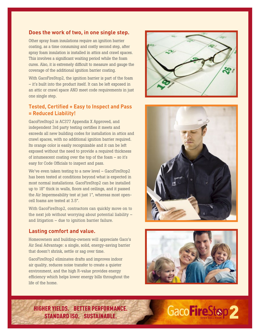#### **Does the work of two, in one single step.**

Other spray foam insulations require an ignition barrier coating, as a time consuming and costly second step, after spray foam insulation is installed in attics and crawl spaces. This involves a significant waiting period while the foam cures. Also, it is extremely difficult to measure and gauge the coverage of the additional ignition barrier coating.

With GacoFireStop2, the ignition barrier is part of the foam – it's built into the product itself. It can be left exposed in an attic or crawl space AND meet code requirements in just one single step.

#### **Tested, Certified + Easy to Inspect and Pass = Reduced Liability!**

GacoFireStop2 is AC377 Appendix X Approved, and independent 3rd party testing certifies it meets and exceeds all new building codes for installation in attics and crawl spaces, with no additional ignition barrier required. Its orange color is easily recognizable and it can be left exposed without the need to provide a required thickness of intumescent coating over the top of the foam – so it's easy for Code Officials to inspect and pass.

We've even taken testing to a new level – GacoFireStop2 has been tested at conditions beyond what is expected in most normal installations. GacoFireStop2 can be installed up to 18" thick in walls, floors and ceilings, and it passed the Air Impermeability test at just 1", whereas most opencell foams are tested at 3.5".

With GacoFireStop2, contractors can quickly move on to the next job without worrying about potential liability – and litigation – due to ignition barrier failure.

#### **Lasting comfort and value.**

Homeowners and building-owners will appreciate Gaco's Air Seal Advantage: a single, solid, energy-saving barrier that doesn't shrink, settle or sag over time.

GacoFireStop2 eliminates drafts and improves indoor air quality, reduces noise transfer to create a quieter environment, and the high R-value provides energy efficiency which helps lower energy bills throughout the life of the home.







HIGHER YIELDS. BETTER PERFORMANCE. STANDARD ISO. SUSTAINABLE.